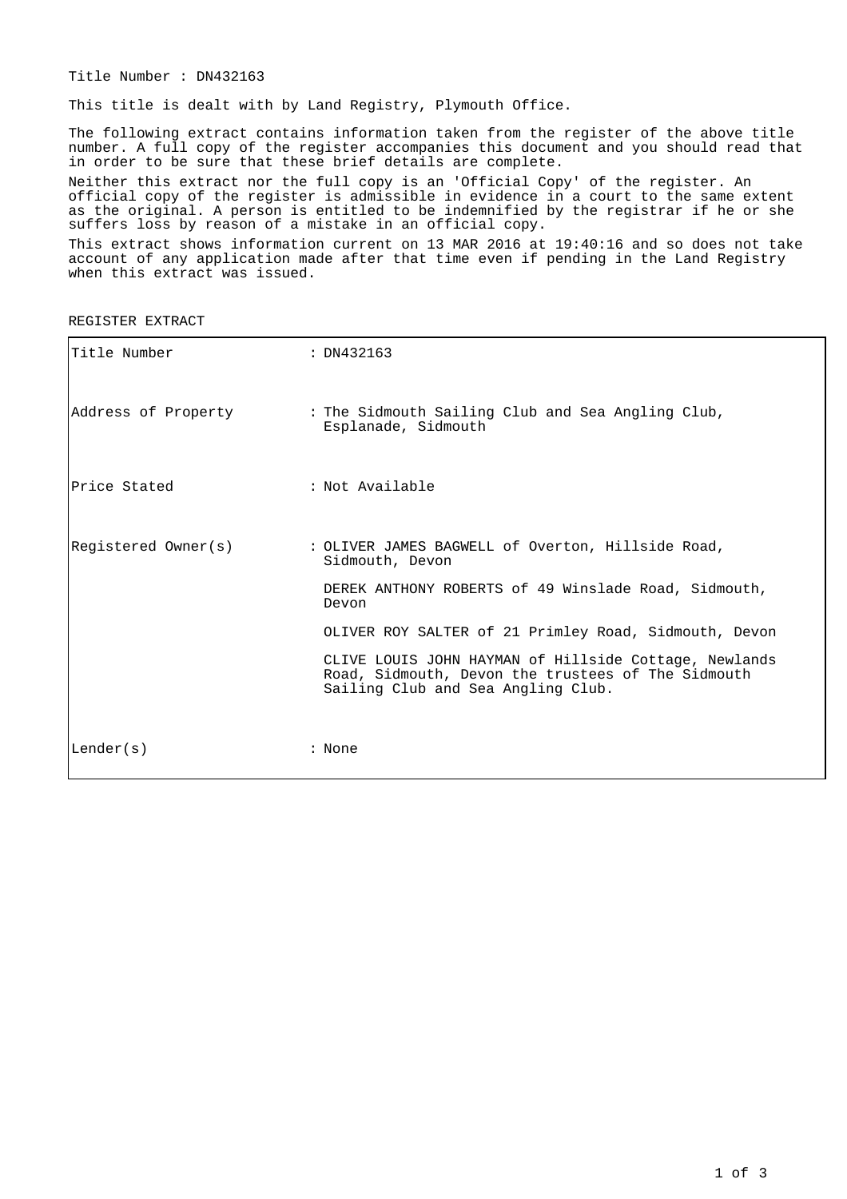Title Number : DN432163

This title is dealt with by Land Registry, Plymouth Office.

The following extract contains information taken from the register of the above title number. A full copy of the register accompanies this document and you should read that in order to be sure that these brief details are complete.

Neither this extract nor the full copy is an 'Official Copy' of the register. An official copy of the register is admissible in evidence in a court to the same extent as the original. A person is entitled to be indemnified by the registrar if he or she suffers loss by reason of a mistake in an official copy.

This extract shows information current on 13 MAR 2016 at 19:40:16 and so does not take account of any application made after that time even if pending in the Land Registry when this extract was issued.

REGISTER EXTRACT

| Title Number        | : DN432163                                                                                                                                        |
|---------------------|---------------------------------------------------------------------------------------------------------------------------------------------------|
| Address of Property | : The Sidmouth Sailing Club and Sea Angling Club,<br>Esplanade, Sidmouth                                                                          |
| Price Stated        | : Not Available                                                                                                                                   |
| Registered Owner(s) | : OLIVER JAMES BAGWELL of Overton, Hillside Road,<br>Sidmouth, Devon                                                                              |
|                     | DEREK ANTHONY ROBERTS of 49 Winslade Road, Sidmouth,<br>Devon                                                                                     |
|                     | OLIVER ROY SALTER of 21 Primley Road, Sidmouth, Devon                                                                                             |
|                     | CLIVE LOUIS JOHN HAYMAN of Hillside Cottage, Newlands<br>Road, Sidmouth, Devon the trustees of The Sidmouth<br>Sailing Club and Sea Angling Club. |
| Lender(s)           | : None                                                                                                                                            |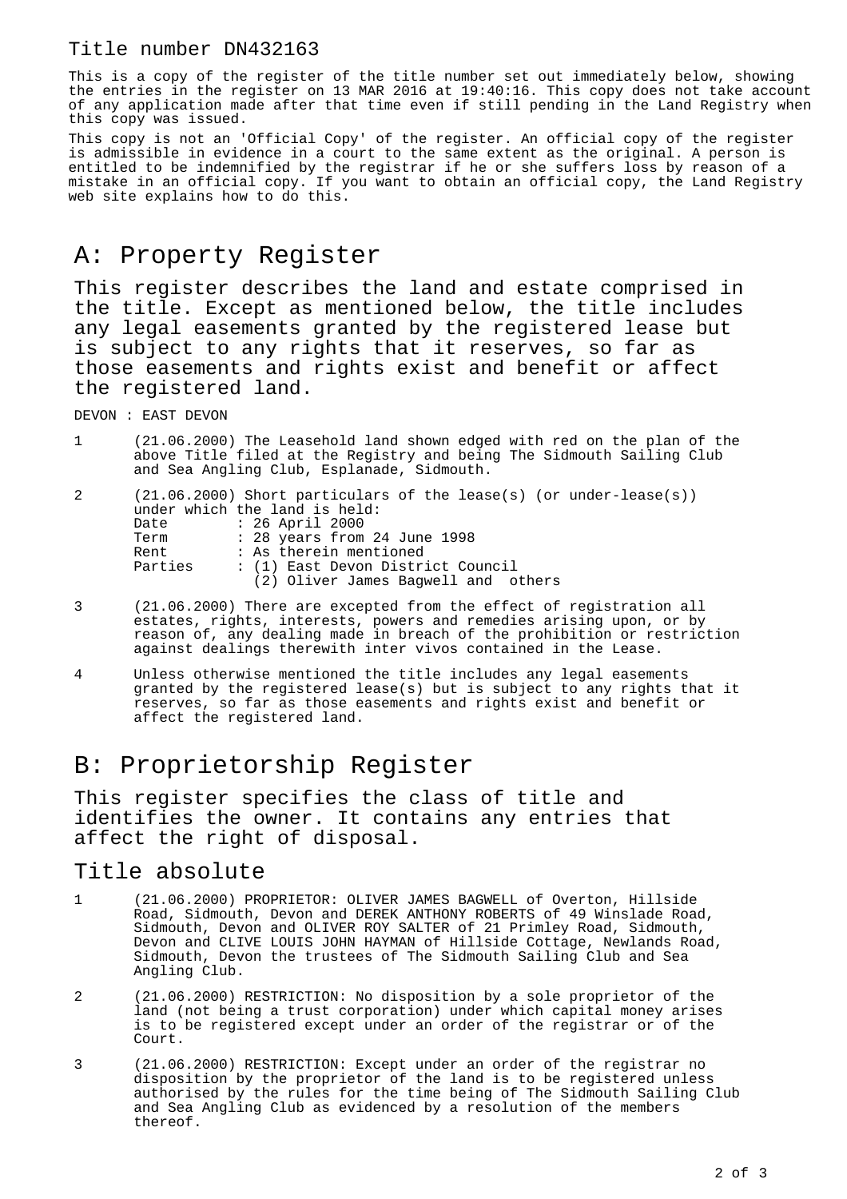## Title number DN432163

This is a copy of the register of the title number set out immediately below, showing the entries in the register on 13 MAR 2016 at 19:40:16. This copy does not take account of any application made after that time even if still pending in the Land Registry when this copy was issued.

This copy is not an 'Official Copy' of the register. An official copy of the register is admissible in evidence in a court to the same extent as the original. A person is entitled to be indemnified by the registrar if he or she suffers loss by reason of a mistake in an official copy. If you want to obtain an official copy, the Land Registry web site explains how to do this.

## A: Property Register

This register describes the land and estate comprised in the title. Except as mentioned below, the title includes any legal easements granted by the registered lease but is subject to any rights that it reserves, so far as those easements and rights exist and benefit or affect the registered land.

DEVON : EAST DEVON

1 (21.06.2000) The Leasehold land shown edged with red on the plan of the above Title filed at the Registry and being The Sidmouth Sailing Club and Sea Angling Club, Esplanade, Sidmouth.

| 2 |         | $(21.06.2000)$ Short particulars of the lease(s) (or under-lease(s)) |
|---|---------|----------------------------------------------------------------------|
|   |         | under which the land is held:                                        |
|   | Date    | : 26 April 2000                                                      |
|   | Term    | : 28 years from 24 June 1998                                         |
|   | Rent    | : As therein mentioned                                               |
|   | Parties | : (1) East Devon District Council                                    |
|   |         | (2) Oliver James Baqwell and others                                  |
|   |         |                                                                      |

- 3 (21.06.2000) There are excepted from the effect of registration all estates, rights, interests, powers and remedies arising upon, or by reason of, any dealing made in breach of the prohibition or restriction against dealings therewith inter vivos contained in the Lease.
- 4 Unless otherwise mentioned the title includes any legal easements granted by the registered lease(s) but is subject to any rights that it reserves, so far as those easements and rights exist and benefit or affect the registered land.

## B: Proprietorship Register

This register specifies the class of title and identifies the owner. It contains any entries that affect the right of disposal.

## Title absolute

- 1 (21.06.2000) PROPRIETOR: OLIVER JAMES BAGWELL of Overton, Hillside Road, Sidmouth, Devon and DEREK ANTHONY ROBERTS of 49 Winslade Road, Sidmouth, Devon and OLIVER ROY SALTER of 21 Primley Road, Sidmouth, Devon and CLIVE LOUIS JOHN HAYMAN of Hillside Cottage, Newlands Road, Sidmouth, Devon the trustees of The Sidmouth Sailing Club and Sea Angling Club.
- 2 (21.06.2000) RESTRICTION: No disposition by a sole proprietor of the land (not being a trust corporation) under which capital money arises is to be registered except under an order of the registrar or of the Court.
- 3 (21.06.2000) RESTRICTION: Except under an order of the registrar no disposition by the proprietor of the land is to be registered unless authorised by the rules for the time being of The Sidmouth Sailing Club and Sea Angling Club as evidenced by a resolution of the members thereof.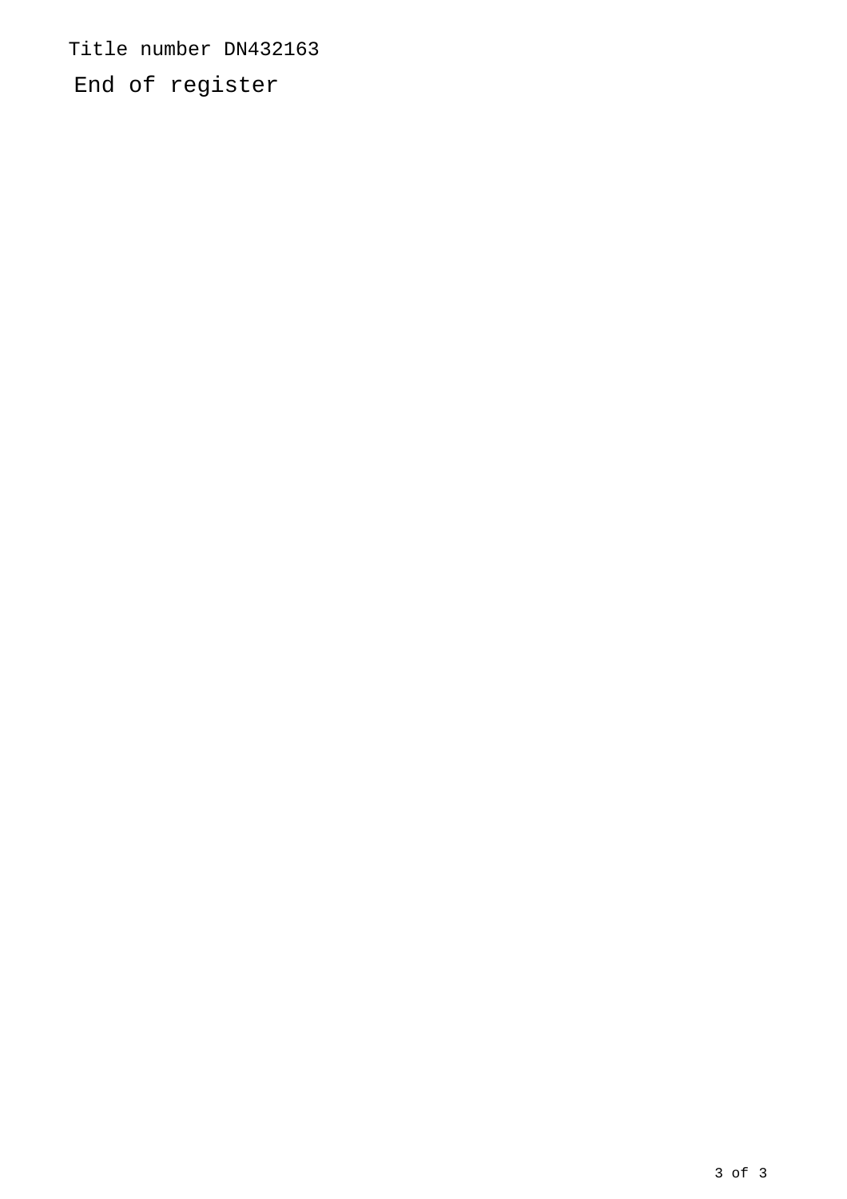Title number DN432163

End of register